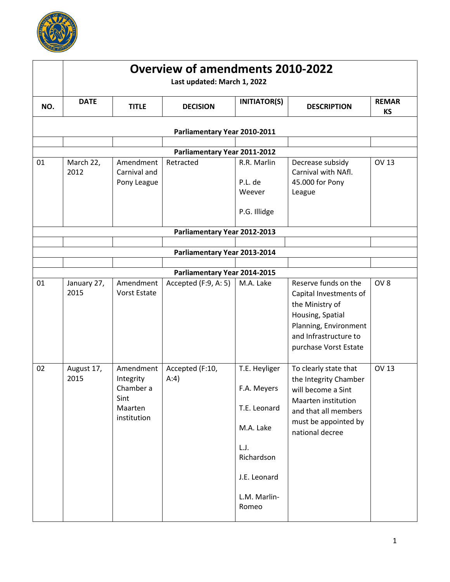

|     | <b>Overview of amendments 2010-2022</b><br>Last updated: March 1, 2022 |                                                                       |                              |                                                                                                                          |                                                                                                                                                                  |                           |  |
|-----|------------------------------------------------------------------------|-----------------------------------------------------------------------|------------------------------|--------------------------------------------------------------------------------------------------------------------------|------------------------------------------------------------------------------------------------------------------------------------------------------------------|---------------------------|--|
| NO. | <b>DATE</b>                                                            | <b>TITLE</b>                                                          | <b>DECISION</b>              | <b>INITIATOR(S)</b>                                                                                                      | <b>DESCRIPTION</b>                                                                                                                                               | <b>REMAR</b><br><b>KS</b> |  |
|     |                                                                        |                                                                       | Parliamentary Year 2010-2011 |                                                                                                                          |                                                                                                                                                                  |                           |  |
|     |                                                                        |                                                                       | Parliamentary Year 2011-2012 |                                                                                                                          |                                                                                                                                                                  |                           |  |
| 01  | March 22,<br>2012                                                      | Amendment<br>Carnival and<br>Pony League                              | Retracted                    | R.R. Marlin<br>P.L. de<br>Weever<br>P.G. Illidge                                                                         | Decrease subsidy<br>Carnival with NAfl.<br>45.000 for Pony<br>League                                                                                             | <b>OV 13</b>              |  |
|     |                                                                        |                                                                       | Parliamentary Year 2012-2013 |                                                                                                                          |                                                                                                                                                                  |                           |  |
|     |                                                                        |                                                                       |                              |                                                                                                                          |                                                                                                                                                                  |                           |  |
|     |                                                                        |                                                                       | Parliamentary Year 2013-2014 |                                                                                                                          |                                                                                                                                                                  |                           |  |
|     |                                                                        |                                                                       | Parliamentary Year 2014-2015 |                                                                                                                          |                                                                                                                                                                  |                           |  |
| 01  | January 27,<br>2015                                                    | Amendment<br><b>Vorst Estate</b>                                      | Accepted (F:9, A: 5)         | M.A. Lake                                                                                                                | Reserve funds on the<br>Capital Investments of<br>the Ministry of<br>Housing, Spatial<br>Planning, Environment<br>and Infrastructure to<br>purchase Vorst Estate | OV <sub>8</sub>           |  |
| 02  | August 17,<br>2015                                                     | Amendment<br>Integrity<br>Chamber a<br>Sint<br>Maarten<br>institution | Accepted (F:10,<br>A:4)      | T.E. Heyliger<br>F.A. Meyers<br>T.E. Leonard<br>M.A. Lake<br>L.J.<br>Richardson<br>J.E. Leonard<br>L.M. Marlin-<br>Romeo | To clearly state that<br>the Integrity Chamber<br>will become a Sint<br>Maarten institution<br>and that all members<br>must be appointed by<br>national decree   | <b>OV 13</b>              |  |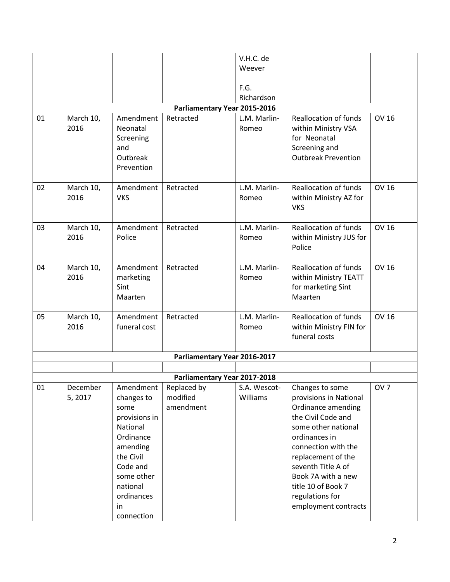|    |           |               |                              | V.H.C. de    |                              |                 |
|----|-----------|---------------|------------------------------|--------------|------------------------------|-----------------|
|    |           |               |                              | Weever       |                              |                 |
|    |           |               |                              |              |                              |                 |
|    |           |               |                              | F.G.         |                              |                 |
|    |           |               |                              | Richardson   |                              |                 |
|    |           |               | Parliamentary Year 2015-2016 |              |                              |                 |
| 01 | March 10, | Amendment     | Retracted                    | L.M. Marlin- | <b>Reallocation of funds</b> | <b>OV 16</b>    |
|    | 2016      | Neonatal      |                              | Romeo        | within Ministry VSA          |                 |
|    |           | Screening     |                              |              | for Neonatal                 |                 |
|    |           | and           |                              |              | Screening and                |                 |
|    |           | Outbreak      |                              |              | <b>Outbreak Prevention</b>   |                 |
|    |           | Prevention    |                              |              |                              |                 |
|    |           |               |                              |              |                              |                 |
| 02 | March 10, | Amendment     | Retracted                    | L.M. Marlin- | <b>Reallocation of funds</b> | <b>OV 16</b>    |
|    | 2016      | <b>VKS</b>    |                              | Romeo        | within Ministry AZ for       |                 |
|    |           |               |                              |              | <b>VKS</b>                   |                 |
| 03 | March 10, | Amendment     | Retracted                    | L.M. Marlin- | <b>Reallocation of funds</b> | <b>OV 16</b>    |
|    | 2016      | Police        |                              | Romeo        | within Ministry JUS for      |                 |
|    |           |               |                              |              | Police                       |                 |
|    |           |               |                              |              |                              |                 |
| 04 | March 10, | Amendment     | Retracted                    | L.M. Marlin- | <b>Reallocation of funds</b> | <b>OV 16</b>    |
|    | 2016      | marketing     |                              | Romeo        | within Ministry TEATT        |                 |
|    |           | Sint          |                              |              | for marketing Sint           |                 |
|    |           | Maarten       |                              |              | Maarten                      |                 |
|    |           |               |                              |              |                              |                 |
| 05 | March 10, | Amendment     | Retracted                    | L.M. Marlin- | <b>Reallocation of funds</b> | <b>OV 16</b>    |
|    | 2016      | funeral cost  |                              | Romeo        | within Ministry FIN for      |                 |
|    |           |               |                              |              | funeral costs                |                 |
|    |           |               |                              |              |                              |                 |
|    |           |               | Parliamentary Year 2016-2017 |              |                              |                 |
|    |           |               | Parliamentary Year 2017-2018 |              |                              |                 |
| 01 | December  | Amendment     | Replaced by                  | S.A. Wescot- | Changes to some              | OV <sub>7</sub> |
|    | 5,2017    | changes to    | modified                     | Williams     | provisions in National       |                 |
|    |           | some          | amendment                    |              | Ordinance amending           |                 |
|    |           | provisions in |                              |              | the Civil Code and           |                 |
|    |           | National      |                              |              | some other national          |                 |
|    |           | Ordinance     |                              |              | ordinances in                |                 |
|    |           | amending      |                              |              | connection with the          |                 |
|    |           | the Civil     |                              |              | replacement of the           |                 |
|    |           | Code and      |                              |              | seventh Title A of           |                 |
|    |           | some other    |                              |              | Book 7A with a new           |                 |
|    |           | national      |                              |              | title 10 of Book 7           |                 |
|    |           | ordinances    |                              |              | regulations for              |                 |
|    |           | in            |                              |              | employment contracts         |                 |
|    |           | connection    |                              |              |                              |                 |
|    |           |               |                              |              |                              |                 |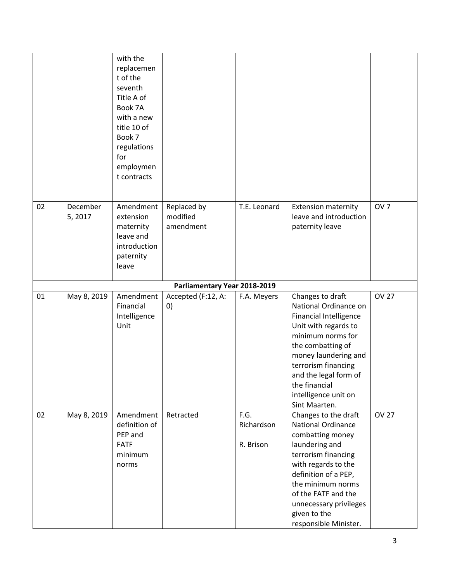|    |                    | with the<br>replacemen<br>t of the<br>seventh<br>Title A of<br>Book 7A<br>with a new<br>title 10 of<br>Book 7<br>regulations<br>for<br>employmen<br>t contracts |                                         |                                 |                                                                                                                                                                                                                                                                                |                 |
|----|--------------------|-----------------------------------------------------------------------------------------------------------------------------------------------------------------|-----------------------------------------|---------------------------------|--------------------------------------------------------------------------------------------------------------------------------------------------------------------------------------------------------------------------------------------------------------------------------|-----------------|
| 02 | December<br>5,2017 | Amendment<br>extension<br>maternity<br>leave and<br>introduction<br>paternity<br>leave                                                                          | Replaced by<br>modified<br>amendment    | T.E. Leonard                    | <b>Extension maternity</b><br>leave and introduction<br>paternity leave                                                                                                                                                                                                        | OV <sub>7</sub> |
|    |                    |                                                                                                                                                                 | Parliamentary Year 2018-2019            |                                 |                                                                                                                                                                                                                                                                                |                 |
| 01 | May 8, 2019        | Amendment<br>Financial<br>Intelligence<br>Unit                                                                                                                  | Accepted (F:12, A:<br>$\left( 0\right)$ | F.A. Meyers                     | Changes to draft<br>National Ordinance on<br><b>Financial Intelligence</b><br>Unit with regards to<br>minimum norms for<br>the combatting of<br>money laundering and<br>terrorism financing<br>and the legal form of<br>the financial<br>intelligence unit on<br>Sint Maarten. | <b>OV 27</b>    |
| 02 | May 8, 2019        | Amendment<br>definition of<br>PEP and<br><b>FATF</b><br>minimum<br>norms                                                                                        | Retracted                               | F.G.<br>Richardson<br>R. Brison | Changes to the draft<br><b>National Ordinance</b><br>combatting money<br>laundering and<br>terrorism financing<br>with regards to the<br>definition of a PEP,<br>the minimum norms<br>of the FATF and the<br>unnecessary privileges<br>given to the<br>responsible Minister.   | <b>OV 27</b>    |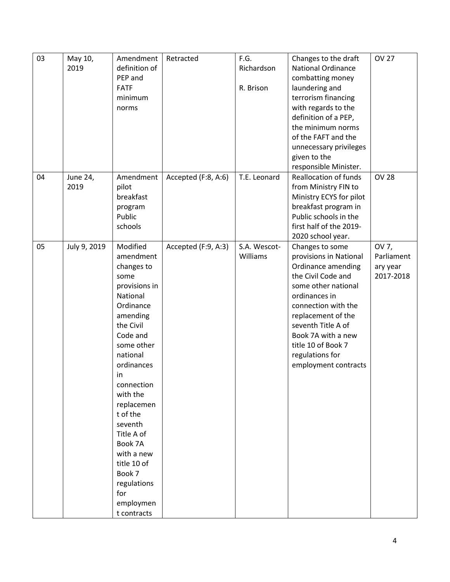| 03 | May 10,      | Amendment     | Retracted           | F.G.         | Changes to the draft         | <b>OV 27</b> |
|----|--------------|---------------|---------------------|--------------|------------------------------|--------------|
|    | 2019         | definition of |                     | Richardson   | <b>National Ordinance</b>    |              |
|    |              | PEP and       |                     |              | combatting money             |              |
|    |              | <b>FATF</b>   |                     | R. Brison    | laundering and               |              |
|    |              | minimum       |                     |              | terrorism financing          |              |
|    |              | norms         |                     |              | with regards to the          |              |
|    |              |               |                     |              | definition of a PEP,         |              |
|    |              |               |                     |              | the minimum norms            |              |
|    |              |               |                     |              | of the FAFT and the          |              |
|    |              |               |                     |              | unnecessary privileges       |              |
|    |              |               |                     |              | given to the                 |              |
|    |              |               |                     |              | responsible Minister.        |              |
| 04 | June 24,     | Amendment     | Accepted (F:8, A:6) | T.E. Leonard | <b>Reallocation of funds</b> | <b>OV 28</b> |
|    | 2019         | pilot         |                     |              | from Ministry FIN to         |              |
|    |              | breakfast     |                     |              | Ministry ECYS for pilot      |              |
|    |              | program       |                     |              | breakfast program in         |              |
|    |              | Public        |                     |              | Public schools in the        |              |
|    |              | schools       |                     |              | first half of the 2019-      |              |
|    |              |               |                     |              | 2020 school year.            |              |
| 05 | July 9, 2019 | Modified      | Accepted (F:9, A:3) | S.A. Wescot- | Changes to some              | OV 7,        |
|    |              | amendment     |                     | Williams     | provisions in National       | Parliament   |
|    |              | changes to    |                     |              | Ordinance amending           | ary year     |
|    |              | some          |                     |              | the Civil Code and           | 2017-2018    |
|    |              | provisions in |                     |              | some other national          |              |
|    |              | National      |                     |              | ordinances in                |              |
|    |              | Ordinance     |                     |              | connection with the          |              |
|    |              | amending      |                     |              | replacement of the           |              |
|    |              | the Civil     |                     |              | seventh Title A of           |              |
|    |              | Code and      |                     |              | Book 7A with a new           |              |
|    |              | some other    |                     |              | title 10 of Book 7           |              |
|    |              | national      |                     |              | regulations for              |              |
|    |              | ordinances    |                     |              | employment contracts         |              |
|    |              | in            |                     |              |                              |              |
|    |              | connection    |                     |              |                              |              |
|    |              | with the      |                     |              |                              |              |
|    |              | replacemen    |                     |              |                              |              |
|    |              | t of the      |                     |              |                              |              |
|    |              | seventh       |                     |              |                              |              |
|    |              | Title A of    |                     |              |                              |              |
|    |              | Book 7A       |                     |              |                              |              |
|    |              | with a new    |                     |              |                              |              |
|    |              | title 10 of   |                     |              |                              |              |
|    |              | Book 7        |                     |              |                              |              |
|    |              | regulations   |                     |              |                              |              |
|    |              | for           |                     |              |                              |              |
|    |              | employmen     |                     |              |                              |              |
|    |              | t contracts   |                     |              |                              |              |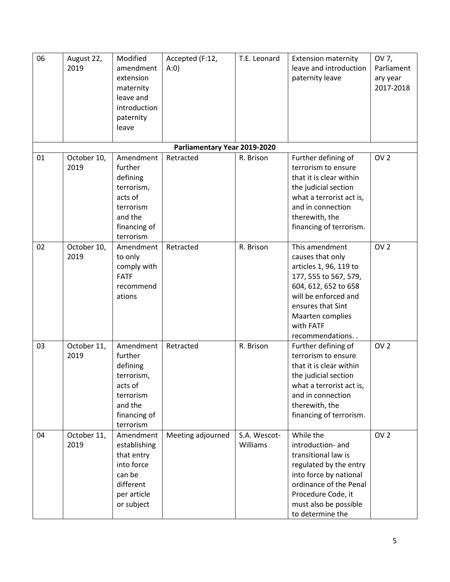| 06 | August 22,<br>2019  | Modified<br>amendment<br>extension<br>maternity<br>leave and<br>introduction<br>paternity<br>leave             | Accepted (F:12,<br>A:0)      | T.E. Leonard             | <b>Extension maternity</b><br>leave and introduction<br>paternity leave                                                                                                                                        | OV 7,<br>Parliament<br>ary year<br>2017-2018 |
|----|---------------------|----------------------------------------------------------------------------------------------------------------|------------------------------|--------------------------|----------------------------------------------------------------------------------------------------------------------------------------------------------------------------------------------------------------|----------------------------------------------|
|    |                     |                                                                                                                | Parliamentary Year 2019-2020 |                          |                                                                                                                                                                                                                |                                              |
| 01 | October 10,<br>2019 | Amendment<br>further<br>defining<br>terrorism,<br>acts of<br>terrorism<br>and the<br>financing of<br>terrorism | Retracted                    | R. Brison                | Further defining of<br>terrorism to ensure<br>that it is clear within<br>the judicial section<br>what a terrorist act is,<br>and in connection<br>therewith, the<br>financing of terrorism.                    | OV <sub>2</sub>                              |
| 02 | October 10,<br>2019 | Amendment<br>to only<br>comply with<br><b>FATF</b><br>recommend<br>ations                                      | Retracted                    | R. Brison                | This amendment<br>causes that only<br>articles 1, 96, 119 to<br>177, 555 to 567, 579,<br>604, 612, 652 to 658<br>will be enforced and<br>ensures that Sint<br>Maarten complies<br>with FATF<br>recommendations | OV <sub>2</sub>                              |
| 03 | October 11,<br>2019 | Amendment<br>further<br>defining<br>terrorism,<br>acts of<br>terrorism<br>and the<br>financing of<br>terrorism | Retracted                    | R. Brison                | Further defining of<br>terrorism to ensure<br>that it is clear within<br>the judicial section<br>what a terrorist act is,<br>and in connection<br>therewith, the<br>financing of terrorism.                    | OV <sub>2</sub>                              |
| 04 | October 11,<br>2019 | Amendment<br>establishing<br>that entry<br>into force<br>can be<br>different<br>per article<br>or subject      | Meeting adjourned            | S.A. Wescot-<br>Williams | While the<br>introduction- and<br>transitional law is<br>regulated by the entry<br>into force by national<br>ordinance of the Penal<br>Procedure Code, it<br>must also be possible<br>to determine the         | OV <sub>2</sub>                              |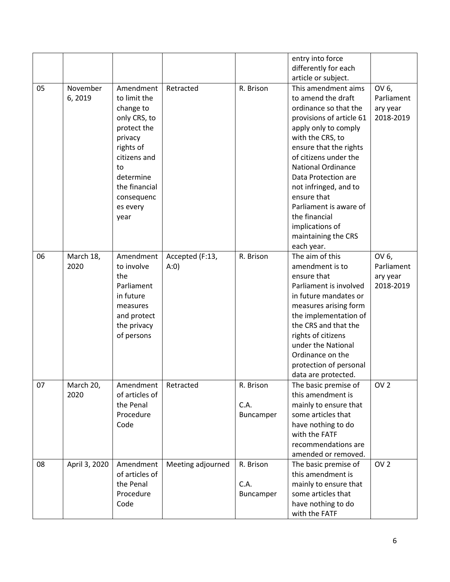|    |                    |                                                                                                                                                                                     |                         |                                | entry into force<br>differently for each<br>article or subject.                                                                                                                                                                                                                                                                                                                              |                                              |
|----|--------------------|-------------------------------------------------------------------------------------------------------------------------------------------------------------------------------------|-------------------------|--------------------------------|----------------------------------------------------------------------------------------------------------------------------------------------------------------------------------------------------------------------------------------------------------------------------------------------------------------------------------------------------------------------------------------------|----------------------------------------------|
| 05 | November<br>6,2019 | Amendment<br>to limit the<br>change to<br>only CRS, to<br>protect the<br>privacy<br>rights of<br>citizens and<br>to<br>determine<br>the financial<br>consequenc<br>es every<br>year | Retracted               | R. Brison                      | This amendment aims<br>to amend the draft<br>ordinance so that the<br>provisions of article 61<br>apply only to comply<br>with the CRS, to<br>ensure that the rights<br>of citizens under the<br><b>National Ordinance</b><br>Data Protection are<br>not infringed, and to<br>ensure that<br>Parliament is aware of<br>the financial<br>implications of<br>maintaining the CRS<br>each year. | OV 6,<br>Parliament<br>ary year<br>2018-2019 |
| 06 | March 18,<br>2020  | Amendment<br>to involve<br>the<br>Parliament<br>in future<br>measures<br>and protect<br>the privacy<br>of persons                                                                   | Accepted (F:13,<br>A:0) | R. Brison                      | The aim of this<br>amendment is to<br>ensure that<br>Parliament is involved<br>in future mandates or<br>measures arising form<br>the implementation of<br>the CRS and that the<br>rights of citizens<br>under the National<br>Ordinance on the<br>protection of personal<br>data are protected.                                                                                              | OV 6,<br>Parliament<br>ary year<br>2018-2019 |
| 07 | March 20,<br>2020  | Amendment<br>of articles of<br>the Penal<br>Procedure<br>Code                                                                                                                       | Retracted               | R. Brison<br>C.A.<br>Buncamper | The basic premise of<br>this amendment is<br>mainly to ensure that<br>some articles that<br>have nothing to do<br>with the FATF<br>recommendations are<br>amended or removed.                                                                                                                                                                                                                | OV <sub>2</sub>                              |
| 08 | April 3, 2020      | Amendment<br>of articles of<br>the Penal<br>Procedure<br>Code                                                                                                                       | Meeting adjourned       | R. Brison<br>C.A.<br>Buncamper | The basic premise of<br>this amendment is<br>mainly to ensure that<br>some articles that<br>have nothing to do<br>with the FATF                                                                                                                                                                                                                                                              | OV <sub>2</sub>                              |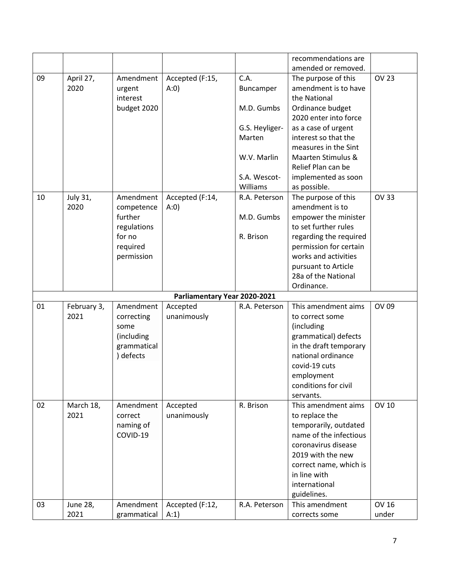|    |                 |             |                              |                | recommendations are    |              |
|----|-----------------|-------------|------------------------------|----------------|------------------------|--------------|
|    |                 |             |                              |                | amended or removed.    |              |
| 09 | April 27,       | Amendment   | Accepted (F:15,              | C.A.           | The purpose of this    | <b>OV 23</b> |
|    | 2020            | urgent      | A:0)                         | Buncamper      | amendment is to have   |              |
|    |                 | interest    |                              |                | the National           |              |
|    |                 | budget 2020 |                              | M.D. Gumbs     | Ordinance budget       |              |
|    |                 |             |                              |                | 2020 enter into force  |              |
|    |                 |             |                              | G.S. Heyliger- | as a case of urgent    |              |
|    |                 |             |                              | Marten         | interest so that the   |              |
|    |                 |             |                              |                | measures in the Sint   |              |
|    |                 |             |                              | W.V. Marlin    | Maarten Stimulus &     |              |
|    |                 |             |                              |                | Relief Plan can be     |              |
|    |                 |             |                              | S.A. Wescot-   | implemented as soon    |              |
|    |                 |             |                              | Williams       | as possible.           |              |
| 10 | July 31,        | Amendment   | Accepted (F:14,              | R.A. Peterson  | The purpose of this    | <b>OV 33</b> |
|    | 2020            | competence  | A:0)                         |                | amendment is to        |              |
|    |                 | further     |                              | M.D. Gumbs     | empower the minister   |              |
|    |                 | regulations |                              |                | to set further rules   |              |
|    |                 | for no      |                              | R. Brison      | regarding the required |              |
|    |                 | required    |                              |                | permission for certain |              |
|    |                 | permission  |                              |                | works and activities   |              |
|    |                 |             |                              |                | pursuant to Article    |              |
|    |                 |             |                              |                | 28a of the National    |              |
|    |                 |             |                              |                | Ordinance.             |              |
|    |                 |             | Parliamentary Year 2020-2021 |                |                        |              |
| 01 | February 3,     | Amendment   | Accepted                     | R.A. Peterson  | This amendment aims    | OV 09        |
|    | 2021            | correcting  | unanimously                  |                | to correct some        |              |
|    |                 | some        |                              |                | (including             |              |
|    |                 | (including  |                              |                | grammatical) defects   |              |
|    |                 | grammatical |                              |                | in the draft temporary |              |
|    |                 | ) defects   |                              |                | national ordinance     |              |
|    |                 |             |                              |                | covid-19 cuts          |              |
|    |                 |             |                              |                | employment             |              |
|    |                 |             |                              |                | conditions for civil   |              |
|    |                 |             |                              |                | servants.              |              |
| 02 | March 18,       | Amendment   | Accepted                     | R. Brison      | This amendment aims    | <b>OV 10</b> |
|    | 2021            | correct     | unanimously                  |                | to replace the         |              |
|    |                 | naming of   |                              |                | temporarily, outdated  |              |
|    |                 | COVID-19    |                              |                | name of the infectious |              |
|    |                 |             |                              |                | coronavirus disease    |              |
|    |                 |             |                              |                | 2019 with the new      |              |
|    |                 |             |                              |                | correct name, which is |              |
|    |                 |             |                              |                | in line with           |              |
|    |                 |             |                              |                | international          |              |
|    |                 |             |                              |                | guidelines.            |              |
| 03 | <b>June 28,</b> | Amendment   | Accepted (F:12,              | R.A. Peterson  | This amendment         | <b>OV 16</b> |
|    | 2021            | grammatical | A:1)                         |                | corrects some          | under        |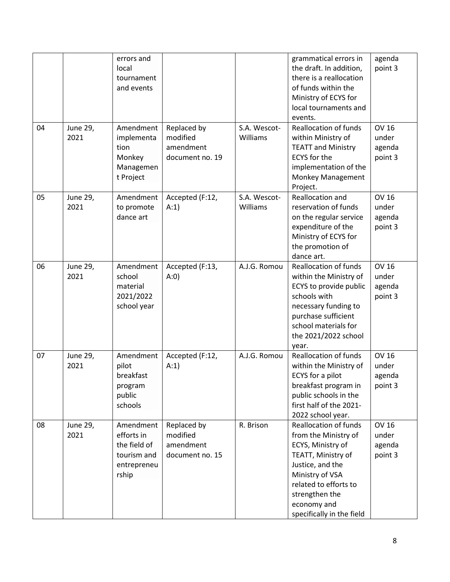|    |                  | errors and<br>local<br>tournament<br>and events                                |                                                         |                          | grammatical errors in<br>the draft. In addition,<br>there is a reallocation<br>of funds within the<br>Ministry of ECYS for<br>local tournaments and                                                                           | agenda<br>point 3                          |
|----|------------------|--------------------------------------------------------------------------------|---------------------------------------------------------|--------------------------|-------------------------------------------------------------------------------------------------------------------------------------------------------------------------------------------------------------------------------|--------------------------------------------|
| 04 | June 29,<br>2021 | Amendment<br>implementa<br>tion                                                | Replaced by<br>modified<br>amendment                    | S.A. Wescot-<br>Williams | events.<br><b>Reallocation of funds</b><br>within Ministry of<br><b>TEATT and Ministry</b>                                                                                                                                    | <b>OV 16</b><br>under<br>agenda            |
|    |                  | Monkey<br>Managemen<br>t Project                                               | document no. 19                                         |                          | <b>ECYS</b> for the<br>implementation of the<br>Monkey Management<br>Project.                                                                                                                                                 | point 3                                    |
| 05 | June 29,<br>2021 | Amendment<br>to promote<br>dance art                                           | Accepted (F:12,<br>A:1)                                 | S.A. Wescot-<br>Williams | Reallocation and<br>reservation of funds<br>on the regular service<br>expenditure of the<br>Ministry of ECYS for<br>the promotion of<br>dance art.                                                                            | <b>OV 16</b><br>under<br>agenda<br>point 3 |
| 06 | June 29,<br>2021 | Amendment<br>school<br>material<br>2021/2022<br>school year                    | Accepted (F:13,<br>A:0)                                 | A.J.G. Romou             | <b>Reallocation of funds</b><br>within the Ministry of<br>ECYS to provide public<br>schools with<br>necessary funding to<br>purchase sufficient<br>school materials for<br>the 2021/2022 school<br>year.                      | <b>OV 16</b><br>under<br>agenda<br>point 3 |
| 07 | June 29,<br>2021 | Amendment<br>pilot<br>breakfast<br>program<br>public<br>schools                | Accepted (F:12,<br>A:1)                                 | A.J.G. Romou             | <b>Reallocation of funds</b><br>within the Ministry of<br>ECYS for a pilot<br>breakfast program in<br>public schools in the<br>first half of the 2021-<br>2022 school year.                                                   | <b>OV 16</b><br>under<br>agenda<br>point 3 |
| 08 | June 29,<br>2021 | Amendment<br>efforts in<br>the field of<br>tourism and<br>entrepreneu<br>rship | Replaced by<br>modified<br>amendment<br>document no. 15 | R. Brison                | <b>Reallocation of funds</b><br>from the Ministry of<br>ECYS, Ministry of<br>TEATT, Ministry of<br>Justice, and the<br>Ministry of VSA<br>related to efforts to<br>strengthen the<br>economy and<br>specifically in the field | <b>OV 16</b><br>under<br>agenda<br>point 3 |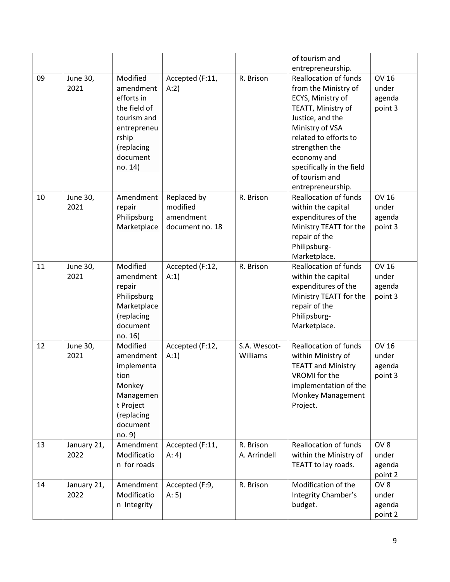|    |                     |                                                                                                                                 |                                                         |                           | of tourism and                                                                                                                                                                                                                                                       |                                               |
|----|---------------------|---------------------------------------------------------------------------------------------------------------------------------|---------------------------------------------------------|---------------------------|----------------------------------------------------------------------------------------------------------------------------------------------------------------------------------------------------------------------------------------------------------------------|-----------------------------------------------|
|    |                     |                                                                                                                                 |                                                         |                           | entrepreneurship.                                                                                                                                                                                                                                                    |                                               |
| 09 | June 30,<br>2021    | Modified<br>amendment<br>efforts in<br>the field of<br>tourism and<br>entrepreneu<br>rship<br>(replacing<br>document<br>no. 14) | Accepted (F:11,<br>A:2)                                 | R. Brison                 | <b>Reallocation of funds</b><br>from the Ministry of<br>ECYS, Ministry of<br>TEATT, Ministry of<br>Justice, and the<br>Ministry of VSA<br>related to efforts to<br>strengthen the<br>economy and<br>specifically in the field<br>of tourism and<br>entrepreneurship. | <b>OV 16</b><br>under<br>agenda<br>point 3    |
| 10 | June 30,<br>2021    | Amendment<br>repair<br>Philipsburg<br>Marketplace                                                                               | Replaced by<br>modified<br>amendment<br>document no. 18 | R. Brison                 | <b>Reallocation of funds</b><br>within the capital<br>expenditures of the<br>Ministry TEATT for the<br>repair of the<br>Philipsburg-<br>Marketplace.                                                                                                                 | <b>OV 16</b><br>under<br>agenda<br>point 3    |
| 11 | June 30,<br>2021    | Modified<br>amendment<br>repair<br>Philipsburg<br>Marketplace<br>(replacing<br>document<br>no. 16)                              | Accepted (F:12,<br>A:1                                  | R. Brison                 | <b>Reallocation of funds</b><br>within the capital<br>expenditures of the<br>Ministry TEATT for the<br>repair of the<br>Philipsburg-<br>Marketplace.                                                                                                                 | <b>OV 16</b><br>under<br>agenda<br>point 3    |
| 12 | June 30,<br>2021    | Modified<br>amendment<br>implementa<br>tion<br>Monkey<br>Managemen<br>t Project<br>(replacing<br>document<br>no. 9)             | Accepted (F:12,<br>A:1)                                 | S.A. Wescot-<br>Williams  | <b>Reallocation of funds</b><br>within Ministry of<br><b>TEATT and Ministry</b><br>VROMI for the<br>implementation of the<br>Monkey Management<br>Project.                                                                                                           | <b>OV 16</b><br>under<br>agenda<br>point 3    |
| 13 | January 21,<br>2022 | Amendment<br>Modificatio<br>n for roads                                                                                         | Accepted (F:11,<br>A: 4)                                | R. Brison<br>A. Arrindell | <b>Reallocation of funds</b><br>within the Ministry of<br>TEATT to lay roads.                                                                                                                                                                                        | OV <sub>8</sub><br>under<br>agenda<br>point 2 |
| 14 | January 21,<br>2022 | Amendment<br>Modificatio<br>n Integrity                                                                                         | Accepted (F:9,<br>A: 5)                                 | R. Brison                 | Modification of the<br>Integrity Chamber's<br>budget.                                                                                                                                                                                                                | OV <sub>8</sub><br>under<br>agenda<br>point 2 |